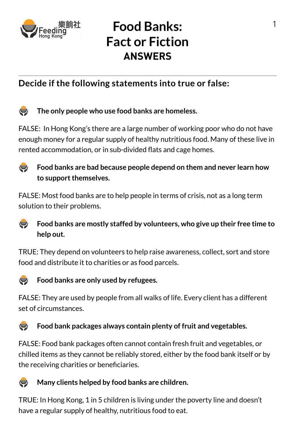

# **Food Banks: Fact or Fiction ANSWERS**

## **Decide if the following statements into true or false:**



### **The only people who use food banks are homeless.**

FALSE: In Hong Kong's there are a large number of working poor who do not have enough money for a regular supply of healthy nutritious food. Many of these live in rented accommodation, or in sub-divided flats and cage homes.



### **Food banks are bad because people depend on them and never learn how to support themselves.**

FALSE: Most food banks are to help people in terms of crisis, not as a long term solution to their problems.



### **Food banks are mostly staffed by volunteers, who give up their free time to help out.**

TRUE: They depend on volunteers to help raise awareness, collect, sort and store food and distribute it to charities or as food parcels.



### **Food banks are only used by refugees.**

FALSE: They are used by people from all walks of life. Every client has a different set of circumstances.

#### **Food bank packages always contain plenty of fruit and vegetables.**  $\sum$

FALSE: Food bank packages often cannot contain fresh fruit and vegetables, or chilled items as they cannot be reliably stored, either by the food bank itself or by the receiving charities or beneficiaries.

#### **Many clients helped by food banks are children.**  $\sum$

TRUE: In Hong Kong, 1 in 5 children is living under the poverty line and doesn't have a regular supply of healthy, nutritious food to eat.